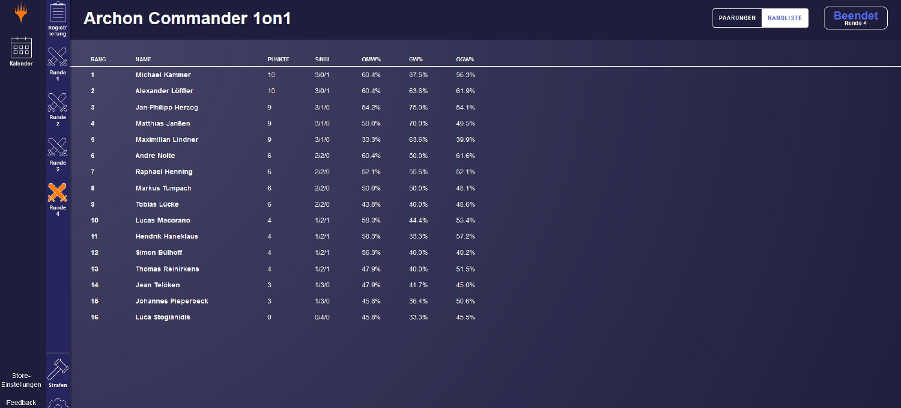

Kalender

## **Archon Commander 1on1**

PAARUNGEN RANGLISTE



| $\ggg$                                                                                                     | <b>RANG</b>             | <b>NAME</b>                | <b>PUNKTE</b>    | S/N/U   | OMW%  | GW%   | OGW%  |  |
|------------------------------------------------------------------------------------------------------------|-------------------------|----------------------------|------------------|---------|-------|-------|-------|--|
| Runde                                                                                                      |                         | <b>Michael Kammer</b>      | 10 <sup>°</sup>  | 3/0/1   | 60.4% | 87.5% | 56.3% |  |
|                                                                                                            | $\overline{2}$          | Alexander Löffler          | 10 <sub>1</sub>  | 3/0/1   | 60.4% | 63.6% | 61.9% |  |
| $\bigotimes_{\infty}$                                                                                      | $\overline{\mathbf{3}}$ | Jan-Philipp Herzog         | $\boldsymbol{9}$ | 3/1/0   | 54.2% | 75.0% | 54.1% |  |
| Runde<br>$\overline{2}$                                                                                    | $\overline{4}$          | <b>Matthias Janßen</b>     | $\overline{9}$   | 3/1/0   | 50.0% | 70.0% | 49.5% |  |
|                                                                                                            | $\sqrt{5}$              | <b>Maximilian Lindner</b>  | $9\,$            | 3/1/0   | 33.3% | 63.6% | 39.9% |  |
| $\begin{matrix} \bigotimes \limits_{\text{Runde}} \quad \text{and} \quad \\ \mathbf{3} \quad \end{matrix}$ | 6                       | <b>Andre Nolte</b>         | 6 <sup>1</sup>   | 2/2/0   | 60.4% | 50.0% | 61.6% |  |
|                                                                                                            | -7                      | <b>Raphael Henning</b>     | 6 <sup>°</sup>   | 2/2/0   | 52.1% | 55.6% | 52.1% |  |
| $\boldsymbol{\infty}$                                                                                      | 8                       | <b>Markus Tumpach</b>      | 6 <sup>1</sup>   | 2/2/0   | 50.0% | 50.0% | 48.1% |  |
| 828<br>Runde<br>4                                                                                          | -9                      | <b>Tobias Lücke</b>        | $6\overline{6}$  | 2/2/0   | 43.8% | 40.0% | 48.6% |  |
|                                                                                                            | 10 <sub>1</sub>         | Lucas Macorano             | $\overline{4}$   | 1/2/1   | 58.3% | 44.4% | 53.4% |  |
|                                                                                                            | 11                      | <b>Hendrik Haneklaus</b>   | $\overline{4}$   | $1/2/1$ | 58.3% | 33.3% | 57.2% |  |
|                                                                                                            | 12 <sub>2</sub>         | <b>Simon Bülhoff</b>       | $\overline{4}$   | 1/2/1   | 56.3% | 40.0% | 49.2% |  |
|                                                                                                            | 13 <sub>1</sub>         | <b>Thomas Reinirkens</b>   | $\overline{4}$   | 1/2/1   | 47.9% | 40.0% | 51.5% |  |
|                                                                                                            | 14                      | Jean Telöken               | 3 <sup>1</sup>   | 1/3/0   | 47.9% | 41.7% | 45.0% |  |
|                                                                                                            | 15                      | <b>Johannes Pieperbeck</b> | 3 <sub>o</sub>   | 1/3/0   | 45.8% | 36.4% | 50.6% |  |
|                                                                                                            | 16                      | Luca Stogianidis           | $\bullet$        | 0/4/0   | 45.8% | 33.3% | 45.5% |  |

 $\hat{\mathbb{X}}$ Store-Einstellungen strafen

Feedback  $\int$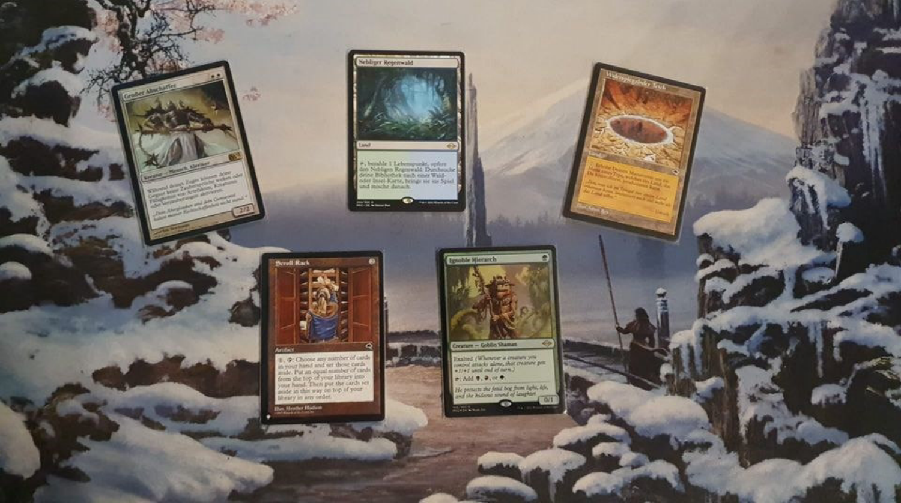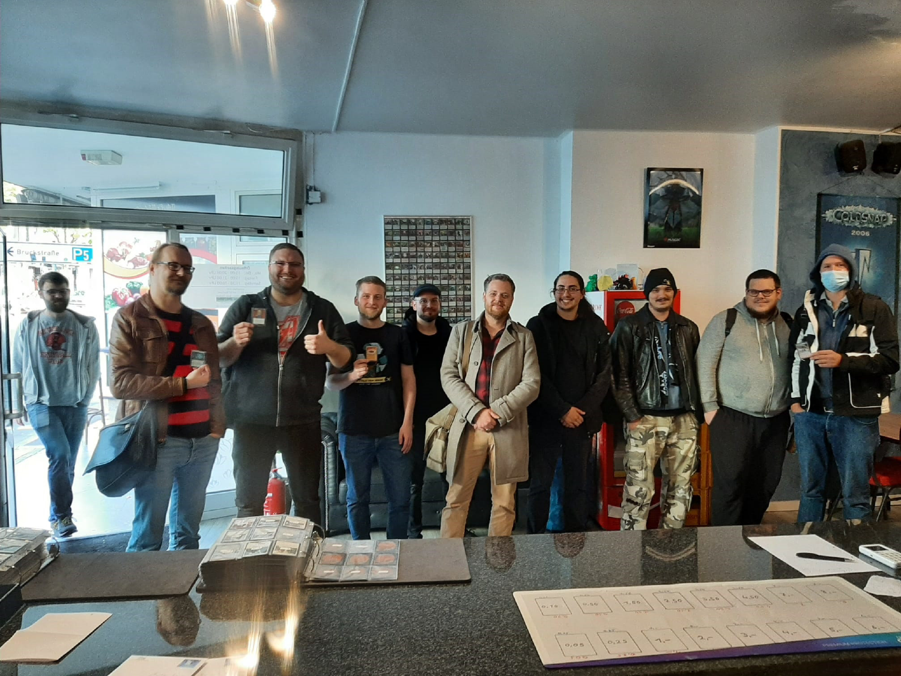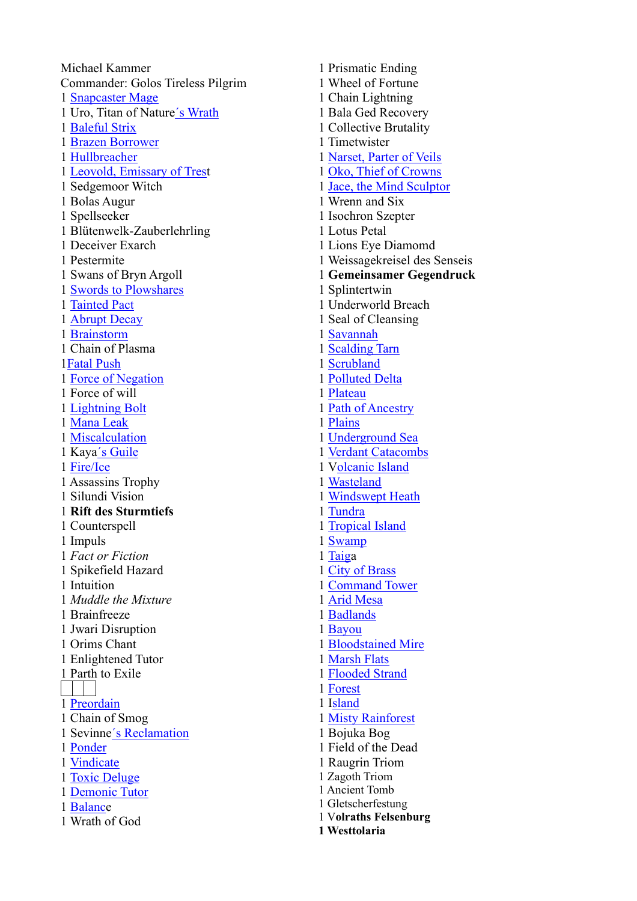Michael Kammer Commander: Golos Tireless Pilgrim 1 Snapcaster Mage 1 Uro, Titan of Nature´s Wrath 1 Baleful Strix 1 Brazen Borrower 1 Hullbreacher 1 Leovold, Emissary of Trest 1 Sedgemoor Witch 1 Bolas Augur 1 Spellseeker 1 Blütenwelk-Zauberlehrling 1 Deceiver Exarch 1 Pestermite 1 Swans of Bryn Argoll 1 Swords to Plowshares 1 Tainted Pact 1 Abrupt Decay 1 Brainstorm 1 Chain of Plasma 1Fatal Push 1 Force of Negation 1 Force of will 1 Lightning Bolt 1 Mana Leak 1 Miscalculation 1 Kaya´s Guile 1 Fire/Ice 1 Assassins Trophy 1 Silundi Vision 1 **Rift des Sturmtiefs** 1 Counterspell 1 Impuls 1 *Fact or Fiction* 1 Spikefield Hazard 1 Intuition 1 *Muddle the Mixture* 1 Brainfreeze 1 Jwari Disruption 1 Orims Chant 1 Enlightened Tutor 1 Parth to Exile 1 Preordain 1 Chain of Smog 1 Sevinne´s Reclamation 1 Ponder 1 Vindicate 1 Toxic Deluge 1 Demonic Tutor 1 Balance 1 Wrath of God

1 Prismatic Ending 1 Wheel of Fortune 1 Chain Lightning 1 Bala Ged Recovery 1 Collective Brutality 1 Timetwister 1 Narset, Parter of Veils 1 Oko, Thief of Crowns 1 Jace, the Mind Sculptor 1 Wrenn and Six 1 Isochron Szepter 1 Lotus Petal 1 Lions Eye Diamomd 1 Weissagekreisel des Senseis 1 **Gemeinsamer Gegendruck** 1 Splintertwin 1 Underworld Breach 1 Seal of Cleansing 1 Savannah 1 Scalding Tarn 1 Scrubland 1 Polluted Delta 1 Plateau 1 Path of Ancestry 1 Plains 1 Underground Sea 1 Verdant Catacombs 1 Volcanic Island 1 Wasteland 1 Windswept Heath 1 Tundra 1 Tropical Island 1 Swamp 1 Taiga 1 City of Brass 1 Command Tower 1 Arid Mesa 1 Badlands 1 Bayou 1 Bloodstained Mire 1 Marsh Flats 1 Flooded Strand 1 Forest 1 Island 1 Misty Rainforest 1 Bojuka Bog 1 Field of the Dead 1 Raugrin Triom 1 Zagoth Triom 1 Ancient Tomb 1 Gletscherfestung 1 V**olraths Felsenburg 1 Westtolaria**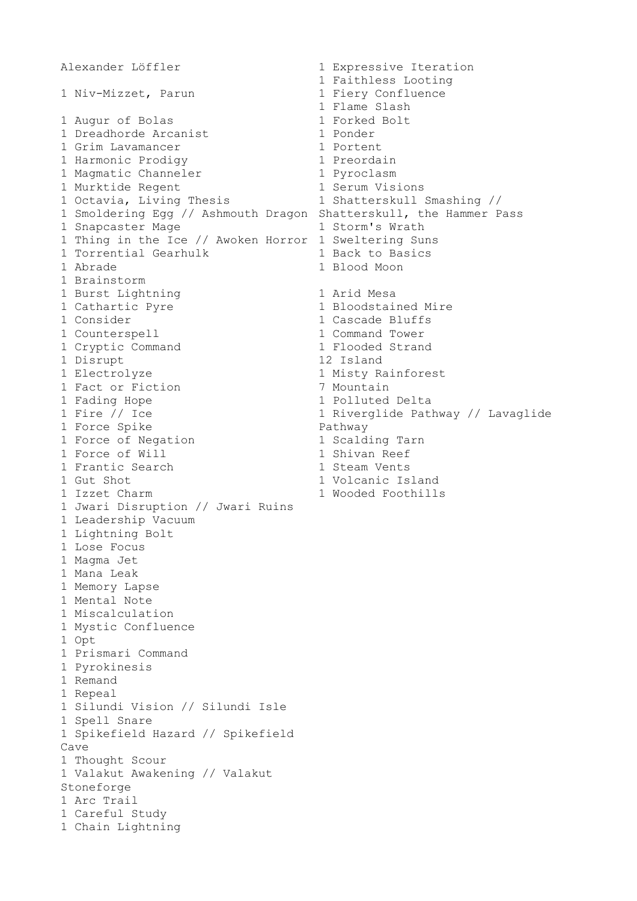Alexander Löffler 1 Niv-Mizzet, Parun 1 Augur of Bolas 1 Dreadhorde Arcanist 1 Grim Lavamancer 1 Harmonic Prodigy 1 Magmatic Channeler 1 Murktide Regent 1 Octavia, Living Thesis 1 Smoldering Egg // Ashmouth Dragon Shatterskull, the Hammer Pass 1 Snapcaster Mage 1 Thing in the Ice // Awoken Horror 1 Sweltering Suns 1 Torrential Gearhulk 1 Abrade 1 Brainstorm 1 Burst Lightning 1 Cathartic Pyre 1 Consider 1 Counterspell 1 Cryptic Command 1 Disrupt 1 Electrolyze 1 Fact or Fiction 1 Fading Hope 1 Fire // Ice 1 Force Spike 1 Force of Negation 1 Force of Will 1 Frantic Search 1 Gut Shot 1 Izzet Charm 1 Jwari Disruption // Jwari Ruins 1 Leadership Vacuum 1 Lightning Bolt 1 Lose Focus 1 Magma Jet 1 Mana Leak 1 Memory Lapse 1 Mental Note 1 Miscalculation 1 Mystic Confluence 1 Opt 1 Prismari Command 1 Pyrokinesis 1 Remand 1 Repeal 1 Silundi Vision // Silundi Isle 1 Spell Snare 1 Spikefield Hazard // Spikefield Cave 1 Thought Scour 1 Valakut Awakening // Valakut Stoneforge 1 Arc Trail 1 Careful Study 1 Chain Lightning 1 Expressive Iteration

1 Faithless Looting 1 Fiery Confluence 1 Flame Slash 1 Forked Bolt 1 Ponder 1 Portent 1 Preordain 1 Pyroclasm 1 Serum Visions 1 Shatterskull Smashing // 1 Storm's Wrath 1 Back to Basics 1 Blood Moon 1 Arid Mesa 1 Bloodstained Mire 1 Cascade Bluffs 1 Command Tower 1 Flooded Strand 12 Island 1 Misty Rainforest 7 Mountain 1 Polluted Delta 1 Riverglide Pathway // Lavaglide Pathway 1 Scalding Tarn 1 Shivan Reef 1 Steam Vents 1 Volcanic Island 1 Wooded Foothills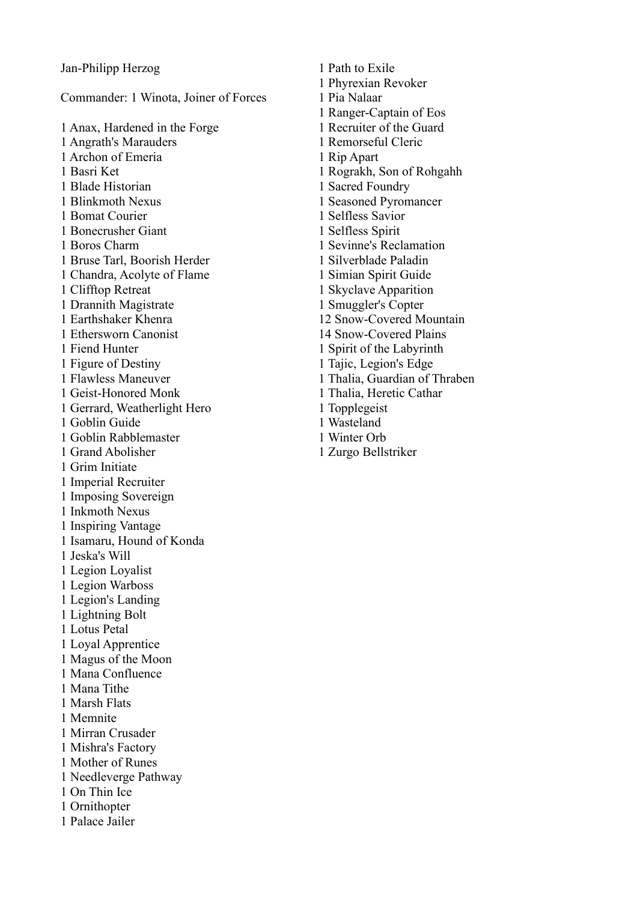Commander: 1 Winota, Joiner of Forces

1 Anax, Hardened in the Forge 1 Angrath's Marauders 1 Archon of Emeria 1 Basri Ket 1 Blade Historian 1 Blinkmoth Nexus 1 Bomat Courier 1 Bonecrusher Giant 1 Boros Charm 1 Bruse Tarl, Boorish Herder 1 Chandra, Acolyte of Flame 1 Clifftop Retreat 1 Drannith Magistrate 1 Earthshaker Khenra 1 Ethersworn Canonist 1 Fiend Hunter 1 Figure of Destiny 1 Flawless Maneuver 1 Geist-Honored Monk 1 Gerrard, Weatherlight Hero 1 Goblin Guide 1 Goblin Rabblemaster 1 Grand Abolisher 1 Grim Initiate 1 Imperial Recruiter 1 Imposing Sovereign 1 Inkmoth Nexus 1 Inspiring Vantage 1 Isamaru, Hound of Konda 1 Jeska's Will 1 Legion Loyalist 1 Legion Warboss 1 Legion's Landing 1 Lightning Bolt 1 Lotus Petal 1 Loyal Apprentice 1 Magus of the Moon 1 Mana Confluence 1 Mana Tithe 1 Marsh Flats 1 Memnite 1 Mirran Crusader 1 Mishra's Factory 1 Mother of Runes 1 Needleverge Pathway 1 On Thin Ice 1 Ornithopter 1 Palace Jailer

1 Path to Exile 1 Phyrexian Revoker 1 Pia Nalaar 1 Ranger-Captain of Eos 1 Recruiter of the Guard 1 Remorseful Cleric 1 Rip Apart 1 Rograkh, Son of Rohgahh 1 Sacred Foundry 1 Seasoned Pyromancer 1 Selfless Savior 1 Selfless Spirit 1 Sevinne's Reclamation 1 Silverblade Paladin 1 Simian Spirit Guide 1 Skyclave Apparition 1 Smuggler's Copter 12 Snow-Covered Mountain 14 Snow-Covered Plains 1 Spirit of the Labyrinth 1 Tajic, Legion's Edge 1 Thalia, Guardian of Thraben 1 Thalia, Heretic Cathar 1 Topplegeist 1 Wasteland 1 Winter Orb 1 Zurgo Bellstriker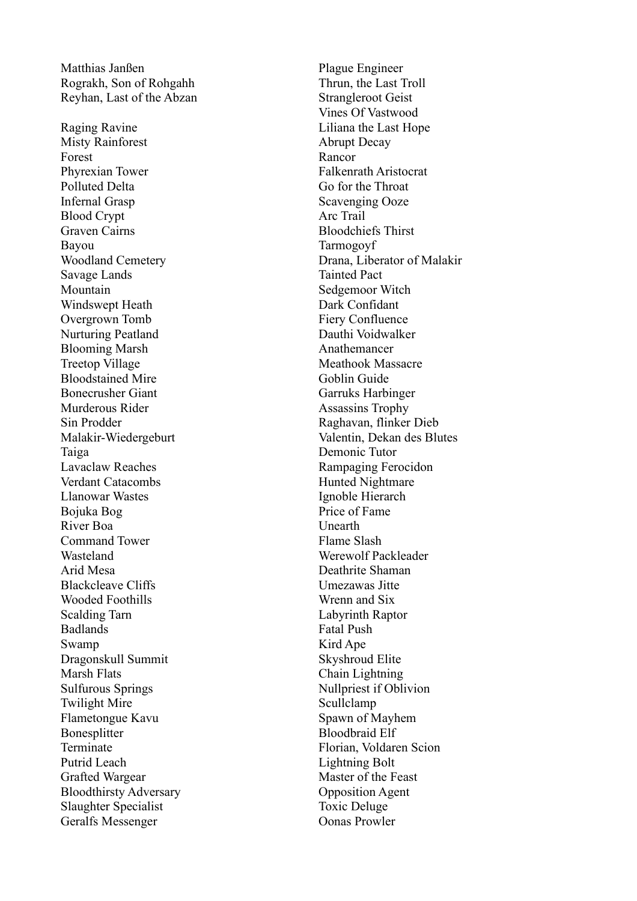Matthias Janßen Rograkh, Son of Rohgahh Reyhan, Last of the Abzan Raging Ravine Misty Rainforest Forest Phyrexian Tower Polluted Delta Infernal Grasp Blood Crypt Graven Cairns Bayou Woodland Cemetery Savage Lands Mountain Windswept Heath Overgrown Tomb Nurturing Peatland Blooming Marsh Treetop Village Bloodstained Mire Bonecrusher Giant Murderous Rider Sin Prodder Malakir-Wiedergeburt Taiga Lavaclaw Reaches Verdant Catacombs Llanowar Wastes Bojuka Bog River Boa Command Tower Wasteland Arid Mesa Blackcleave Cliffs Wooded Foothills Scalding Tarn Badlands Swamp Dragonskull Summit Marsh Flats Sulfurous Springs Twilight Mire Flametongue Kavu Bonesplitter Terminate Putrid Leach Grafted Wargear Bloodthirsty Adversary Slaughter Specialist Geralfs Messenger

Plague Engineer Thrun, the Last Troll Strangleroot Geist Vines Of Vastwood Liliana the Last Hope Abrupt Decay Rancor Falkenrath Aristocrat Go for the Throat Scavenging Ooze Arc Trail Bloodchiefs Thirst Tarmogoyf Drana, Liberator of Malakir Tainted Pact Sedgemoor Witch Dark Confidant Fiery Confluence Dauthi Voidwalker Anathemancer Meathook Massacre Goblin Guide Garruks Harbinger Assassins Trophy Raghavan, flinker Dieb Valentin, Dekan des Blutes Demonic Tutor Rampaging Ferocidon Hunted Nightmare Ignoble Hierarch Price of Fame **Unearth** Flame Slash Werewolf Packleader Deathrite Shaman Umezawas Jitte Wrenn and Six Labyrinth Raptor Fatal Push Kird Ape Skyshroud Elite Chain Lightning Nullpriest if Oblivion Scullclamp Spawn of Mayhem Bloodbraid Elf Florian, Voldaren Scion Lightning Bolt Master of the Feast Opposition Agent Toxic Deluge Oonas Prowler